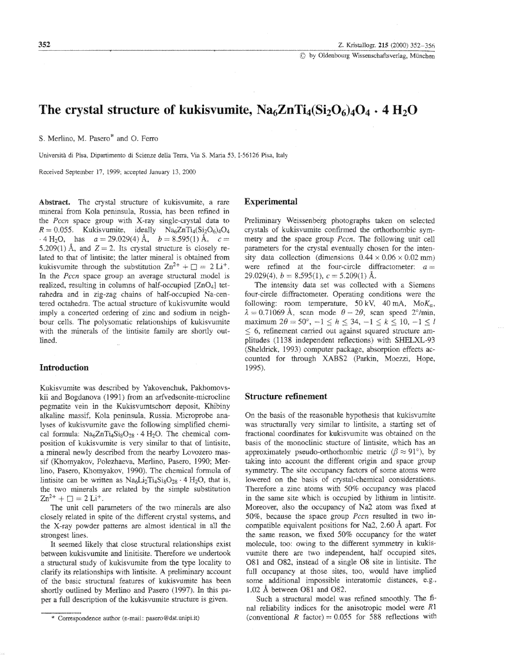1 by Oldenbourg Wissenschaftsverlag, München

# The crystal structure of kukisvumite,  $Na<sub>6</sub>ZnTi<sub>4</sub>(Si<sub>2</sub>O<sub>6</sub>)<sub>4</sub>O<sub>4</sub> \cdot 4 H<sub>2</sub>O$

S. Merlino, M. Pasero\* and O. Ferro

Università di Pisa, Dipartimento di Scienze della Terra, Via S. Maria 53, I-56126 Pisa, Italy

Received September 17, 1999; accepted January 13, 2000

Abstract. The crystal structure of kukisvumite, a rare mineral from Kola peninsula, Russia, has been refined in the *Pccn* space group with X-ray single-crystal data to  $R = 0.055$ . Kukisvumite, ideally Na<sub>6</sub>ZnTi<sub>4</sub>(Si<sub>2</sub>O<sub>6</sub>)<sub>4</sub>O<sub>4</sub>  $-4 \text{ H}_2\text{O}$ , has  $a = 29.029(4)$  Å,  $b = 8.595(1)$  Å,  $c =$ 5.209(1) Å, and  $Z = 2$ . Its crystal structure is closely related to that of lintisite; the latter mineral is obtained from kukisvumite through the substitution  $Zn^{2+} + \Box = 2 Li^{+}$ . In the Pccn space group an average structural model is realized, resulting in columns of half-occupied [ZnO<sub>4</sub>] tetrahedra and in zig-zag chains of half-occupied Na-centered octahedra. The actual structure of kukisvumite would imply a concerted ordering of zinc and sodium in neighbour cells. The polysomatic relationships of kukisvumite with the minerals of the lintisite family are shortly outlined.

#### **Introduction**

Kukisvumite was described by Yakovenchuk, Pakhomovskii and Bogdanova (1991) from an arfvedsonite-microcline pegmatite vein in the Kukisvumtschorr deposit, Khibiny alkaline massif, Kola peninsula, Russia. Microprobe analyses of kukisvumite gave the following simplified chemical formula:  $Na<sub>6</sub>ZnTi<sub>4</sub>Si<sub>8</sub>O<sub>28</sub> · 4 H<sub>2</sub>O$ . The chemical composition of kukisvumite is very similar to that of lintisite, a mineral newly described from the nearby Lovozero massif (Khomyakov, Polezhaeva, Merlino, Pasero, 1990; Merlino, Pasero, Khomyakov, 1990). The chemical formula of lintisite can be written as  $Na<sub>6</sub>Li<sub>2</sub>Ti<sub>4</sub>Si<sub>8</sub>O<sub>28</sub> · 4 H<sub>2</sub>O$ , that is, the two minerals are related by the simple substitution  $Zn^{2+} + \square = 2Li^{+}$ .

The unit cell parameters of the two minerals are also closely related in spite of the different crystal systems, and the X-ray powder patterns are almost identical in all the strongest lines.

It seemed likely that close structural relationships exist between kukisvumite and linitisite. Therefore we undertook a structural study of kukisvumite from the type locality to clarify its relationships with lintisite. A preliminary account of the basic structural features of kukisvumite has been shortly outlined by Merlino and Pasero (1997). In this paper a full description of the kukisvumite structure is given.

## **Experimental**

Preliminary Weissenberg photographs taken on selected crystals of kukisvumite confirmed the orthorhombic symmetry and the space group *Pccn*. The following unit cell parameters for the crystal eventually chosen for the intensity data collection (dimensions  $0.44 \times 0.06 \times 0.02$  mm) were refined at the four-circle diffractometer:  $a =$ 29.029(4),  $b = 8.595(1)$ ,  $c = 5.209(1)$  Å.

The intensity data set was collected with a Siemens four-circle diffractometer. Operating conditions were the following: room temperature, 50 kV, 40 mA,  $M \circ K_{\alpha}$ ,  $\lambda = 0.71069$  Å, scan mode  $\theta - 2\theta$ , scan speed 2°/min, maximum  $2\theta = 50^{\circ}$ ,  $-1 \le h \le 34$ ,  $-1 \le k \le 10$ ,  $-1 \le l$  $\leq$  6, refinement carried out against squared structure amplitudes (1138 independent reflections) with SHELXL-93 (Sheldrick, 1993) computer package, absorption effects accounted for through XABS2 (Parkin, Moezzi, Hope, 1995).

### **Structure refinement**

On the basis of the reasonable hypothesis that kukisvumite was structurally very similar to lintisite, a starting set of fractional coordinates for kukisvumite was obtained on the basis of the monoclinic stucture of lintisite, which has an approximately pseudo-orthorhombic metric ( $\beta \approx 91^{\circ}$ ), by taking into account the different origin and space group symmetry. The site occupancy factors of some atoms were lowered on the basis of crystal-chemical considerations. Therefore a zinc atoms with 50% occupancy was placed in the same site which is occupied by lithium in lintisite. Moreover, also the occupancy of Na2 atom was fixed at 50%, because the space group Pccn resulted in two incompatible equivalent positions for Na2, 2.60 Å apart. For the same reason, we fixed 50% occupancy for the water molecule, too: owing to the different symmetry in kukisvumite there are two independent, half occupied sites, O81 and O82, instead of a single O8 site in lintisite. The full occupancy at those sites, too, would have implied some additional impossible interatomic distances, e.g., 1.02 Å between O81 and O82.

Such a structural model was refined smoothly. The final reliability indices for the anisotropic model were  $R1$ (conventional R factor) =  $0.055$  for 588 reflections with

<sup>\*</sup> Correspondence author (e-mail: pasero@dst.unipi.it)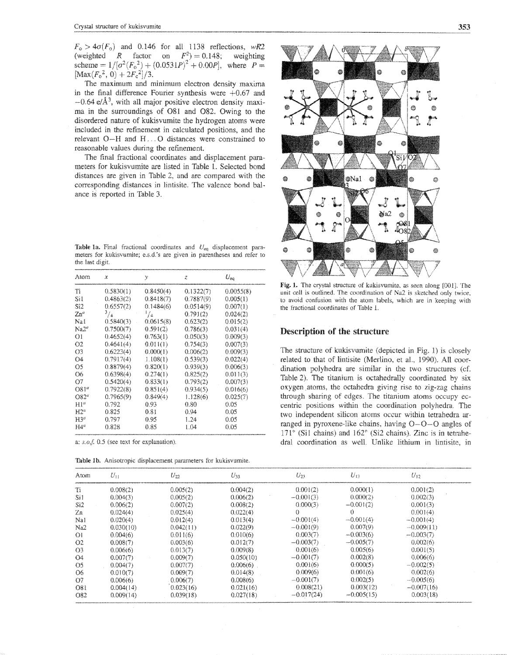$F_o > 4\sigma(F_o)$  and 0.146 for all 1138 reflections, wR2 (weighted R factor on  $F^2$ ) = 0.148; weighting scheme =  $1/[\sigma^2(F_0^2) + (0.0531P)^2 + 0.00P]$ , where  $P =$  $[\text{Max}(F_0^2, 0) + 2F_c^2]/3.$ 

The maximum and minimum electron density maxima in the final difference Fourier synthesis were  $+0.67$  and  $-0.64 \text{ e}/\text{\AA}^3$ , with all major positive electron density maxima in the surroundings of O81 and O82. Owing to the disordered nature of kukisvumite the hydrogen atoms were included in the refinement in calculated positions, and the relevant O-H and H...O distances were constrained to reasonable values during the refinement.

The final fractional coordinates and displacement parameters for kukisvumite are listed in Table 1. Selected bond distances are given in Table 2, and are compared with the corresponding distances in lintisite. The valence bond balance is reported in Table 3.

Table 1a. Final fractional coordinates and  $U_{eq}$  displacement parameters for kukisvumite; e.s.d.'s are given in parentheses and refer to the last digit.

| Atom            | x           | у         | ż         | $U_{\infty}$ |
|-----------------|-------------|-----------|-----------|--------------|
| Tī              | 0.5830(1)   | 0.8450(4) | 0.1322(7) | 0.0055(8)    |
| SH              | 0.4863(2)   | 0.8418(7) | 0.7887(9) | 0,005(1)     |
| Si2             | 0.6557(2)   | 0.1484(6) | 0.0514(9) | 0.007(1)     |
| Zn"             | $^{3}/_{4}$ | '/≤       | 0.791(2)  | 0.024(2)     |
| Nai             | 0.5840(3)   | 0.0615(8) | 0.623(2)  | 0.015(2)     |
| Na2°            | 0.7500(7)   | 0.591(2)  | 0.786(3)  | 0.031(4)     |
| ОI              | 0.4652(4)   | 0.763(1)  | 0.050(3)  | 0.009(3)     |
| Ω2              | 0.4641(4)   | 0.011(1)  | 0.754(3)  | 0.007(3)     |
| O3              | 0.6223(4)   | 0.000(1)  | 0.006(2)  | 0.009(3)     |
| 04              | 0.7917(4)   | 1.108(1)  | 0.539(3)  | 0.022(4)     |
| O5              | 0.8879(4)   | 0.820(1)  | 0.939(3)  | 0.006(3)     |
| O6              | 0.6398(4)   | 0.274(1)  | 0.825(2)  | 0.011(3)     |
| 07              | 0.5420(4)   | 0.833(1)  | 0.793(2)  | 0.007(3)     |
| O81°            | 0.7922(8)   | 0.851(4)  | 0.934(5)  | 0.016(6)     |
| O82"            | 0.7965(9)   | 0.849(4)  | 1.128(6)  | 0.025(7)     |
| H1 <sup>d</sup> | 0.792       | 0.93      | 0.80      | 0.05         |
| 142°            | 0.825       | 0.81      | 0.94      | 0.05         |
| 1130            | 0.797       | 0.95      | 1.24      | 0.05         |
| 144ª            | 0.828       | 0.85      | 1.04      | 0.05         |

a: s.o.f. 0.5 (see text for explanation).

Table 1b. Anisotropic displacement parameters for kukisvumite.



Fig. 1. The crystal structure of kukisvumite, as seen along [001]. The unit cell is outlined. The coordination of Na2 is sketched only twice, to avoid confusion with the atom labels, which are in keeping with the fractional coordinates of Table 1.

#### Description of the structure

The structure of kukisvumite (depicted in Fig. 1) is closely related to that of lintisite (Merlino, et al., 1990). All coordination polyhedra are similar in the two structures (cf. Table 2). The titanium is octahedrally coordinated by six oxygen atoms, the octahedra giving rise to zig-zag chains through sharing of edges. The titanium atoms occupy eccentric positions within the coordination polyhedra. The two independent silicon atoms occur within tetrahedra arranged in pyroxene-like chains, having  $O - O - O$  angles of 171° (Si1 chains) and 162° (Si2 chains). Zinc is in tetrahedral coordination as well. Unlike lithium in lintisite, in

| Atom           | $U_{11}$  | Uza       | $U_{33}$  | $U_{23}$     | $U_{13}$     | $U_{12}$     |
|----------------|-----------|-----------|-----------|--------------|--------------|--------------|
| Tì             | 0.008(2)  | 0.005(2)  | 0.004(2)  | 0.001(2)     | 0.000(1)     | 0.001(2)     |
| Si1            | 0.004(3)  | 0.005(2)  | 0.006(2)  | $-0.001(3)$  | 0.000(2)     | 0.002(3)     |
| Si2            | 0.006(2)  | 0.007(2)  | 0.008(2)  | 0.000(3)     | $-0.001(2)$  | 0.001(3)     |
| Zn             | 0.024(4)  | 0.025(4)  | 0.022(4)  | 0            | 0            | 0.001(4)     |
| Nai            | 0.020(4)  | 0.012(4)  | 0.013(4)  | $-0.001(4)$  | $-0.001(4)$  | $-0.001(4)$  |
| Na2            | 0.030(10) | 0.042(11) | 0.022(9)  | $-0.001(9)$  | 0.007(9)     | $-0.009(11)$ |
| ΩI             | 0.004(6)  | 0.011(6)  | 0.010(6)  | 0.003(7)     | $-0.003(6)$  | $-0.003(7)$  |
| Ö2             | 0.008(7)  | 0.003(6)  | 0.012(7)  | $-0.003(7)$  | $-0.005(7)$  | 0.002(6)     |
| O <sub>3</sub> | 0.006(6)  | 0.013(7)  | 0.009(8)  | 0.001(6)     | 0.005(6)     | 0.001(5)     |
| $\bullet$      | 0.007(7)  | 0.009(7)  | 0.050(10) | $-0.001(7)$  | 0.002(8)     | 0.006(6)     |
| O5             | 0.004(7)  | 0.007(7)  | 0.006(6)  | 0.001(6)     | 0.000(5)     | $-0.002(5)$  |
| 06             | 0.010(7)  | 0.009(7)  | 0.014(8)  | 0.009(6)     | 0.001(6)     | 0.002(6)     |
| -07            | 0.006(6)  | 0.006(7)  | 0.008(6)  | $-0.001(7)$  | 0.002(5)     | $-0.005(6)$  |
| O81            | 0.004(14) | 0.023(16) | 0.021(16) | 0.008(21)    | 0.003(12)    | $-0.007(16)$ |
| <b>O82</b>     | 0.009(14) | 0.039(18) | 0.027(18) | $-0.017(24)$ | $-0.005(15)$ | 0.003(18)    |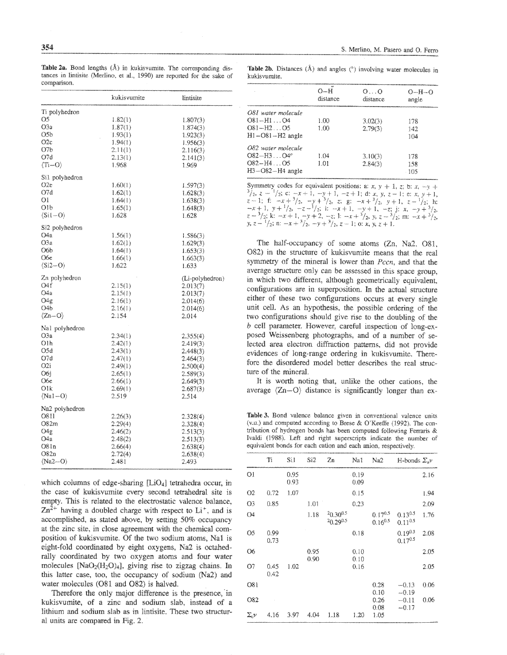Table 2a. Bond lengths  $(A)$  in kukisvumite. The corresponding distances in lintisite (Merlino, et al., 1990) are reported for the sake of comparison.

Table 2b. Distances  $(\hat{A})$  and angles  $(°)$  involving water molecules in kukisvumite.

|                         | kukisvumite | lintisite       |
|-------------------------|-------------|-----------------|
| Ii polyhedron           |             |                 |
| Œ.                      | 1.82(1)     | 1.807(3)        |
| Э3а                     |             |                 |
|                         | 1.87(1)     | 1.874(3)        |
| 356                     | 1.93(1)     | 1.923(3)        |
| D2c                     | 1.94(1)     | 1.956(3)        |
| 07b                     | $2.1\{(1)$  | 2.116(3)        |
| I7d                     | 2.13(1)     | 2.141(3)        |
| (Ti--O                  | 1.968       | 1.969           |
| Sil polyhedron          |             |                 |
| $_{2c}$                 | 1.60(1)     | 1.597(3)        |
| 97d                     | 1.62(1)     | 1.628(3)        |
| Эi                      | 1.64(1)     | 1.638(3)        |
| 01b                     |             |                 |
|                         | 1.65(1)     | 1.648(3)        |
| $(Si1-O)$               | 1.628       | 1.628           |
| Si2 polyhedron          |             |                 |
| Э4а                     | 1.56(1)     | 1.586(3)        |
| 03a                     | 1.62(1)     | 1.629(3)        |
| <b>D6b</b>              | 1.64(1)     | 1.653(3)        |
| Жē                      | 1.66(1)     | 1.663(3)        |
| $(Si2 - O)$             | 1.622       | 1.633           |
|                         |             |                 |
| Zn polyhedron           |             | (Li-polyhedron) |
| J4f                     | 2.15(1)     | 2.013(7)        |
| J48                     | 2.15(1)     | 2.013(7)        |
| J4g                     | 2.16(1)     | 2.014(6)        |
| J4b                     | 2.16(1)     | 2.014(6)        |
| $\langle Zn-O \rangle$  | 2.154       | 2.014           |
|                         |             |                 |
| Nal polyhedron<br>ЭЗa   | 2.34(1)     | 2.355(4)        |
|                         |             |                 |
| Olh                     | 2.42(1)     | 2.419(3)        |
| 05d                     | 2.43(1)     | 2.448(3)        |
| D7d                     | 2.47(1)     | 2.464(3)        |
| 02)                     | 2.49(1)     | 2.500(4)        |
| D6ì                     | 2,65(1)     | 2.589(3)        |
| Же                      | 2.66(1)     | 2.649(3)        |
| Эlk                     | 2.69(1)     | 2.687(3)        |
| $\langle Na1-O \rangle$ | 2.519       | 2.514           |
|                         |             |                 |
| Na2 polyhedron          |             |                 |
| D811                    | 2.26(3)     | 2.328(4)        |
| 082m                    | 2.29(4)     | 2.328(4)        |
| JЧg                     | 2.46(2)     | 2.513(3)        |
| 34a                     | 2.48(2)     | 2.513(3)        |
| 08 i n                  | 2,66(4)     | 2.638(4)        |
| 082n                    | 2.72(4)     | 2,638(4)        |
| (Na2--O)                | 2.481       | 2.493           |
|                         |             |                 |

which columns of edge-sharing  $[LiO<sub>4</sub>]$  tetrahedra occur, in the case of kukisvumite every second tetrahedral site is empty. This is related to the electrostatic valence balance,  $Zn^{2+}$  having a doubled charge with respect to  $Li^{+}$ , and is accomplished, as stated above, by setting 50% occupancy at the zinc site, in close agreement with the chemical composition of kukisvumite. Of the two sodium atoms, Na1 is eight-fold coordinated by eight oxygens, Na2 is octahedrally coordinated by two oxygen atoms and four water molecules  $[NaO<sub>2</sub>(H<sub>2</sub>O)<sub>4</sub>]$ , giving rise to zigzag chains. In this latter case, too, the occupancy of sodium (Na2) and water molecules (O81 and O82) is halved.

Therefore the only major difference is the presence, in kukisvumite, of a zinc and sodium slab, instead of a lithium and sodium slab as in lintisite. These two structural units are compared in Fig. 2.

|                         | $O-H$<br>distance. | $O \ldots O$<br>distance | $O - H - O$<br>angle |  |
|-------------------------|--------------------|--------------------------|----------------------|--|
| O81 water molecule      |                    |                          |                      |  |
| $O(81 - H1 \dots 04)$   | 1.00               | 3.02(3)                  | 178                  |  |
| $OR1 - H2 \dots OS$     | 1.00               | 2.79(3)                  | 142                  |  |
| $H1 - O81 - H2$ angle   |                    |                          | 104                  |  |
| O82 water molecule      |                    |                          |                      |  |
| $O82 - H3$ $O4^{\circ}$ | 1.04               | 3.10(3)                  | 178                  |  |
| $OS2 - H4 OS$           | 1.01               | 2.84(3)                  | 158                  |  |
| $H3 - O82 - H4$ angle   |                    |                          | 105                  |  |

Symmetry codes for equivalent positions: a: x, y + 1, z; b: x, -y + Symmetry codes for equivalent positions: a.  $x, y + 1, z, 0, x, -y +$ <br>  $\frac{3}{2}, z - \frac{1}{2}; c: -x + 1, -y + 1, -z + 1; d: x, y, z - 1; e: x, y + 1, z - 1; f: -x + \frac{3}{2}, -y + \frac{3}{2}, z; g: -x + \frac{3}{2}, y + 1, z - \frac{1}{2}; h: -x + 1, y + \frac{1}{2}, -z - \frac{1}{2}; i: -x + 1, -y + 1, -z;$ 

The half-occupancy of some atoms (Zn, Na2, O81, O82) in the structure of kukisvumite means that the real symmetry of the mineral is lower than Pccn, and that the average structure only can be assessed in this space group. in which two different, although geometrically equivalent, configurations are in superposition. In the actual structure either of these two configurations occurs at every single unit cell. As an hypothesis, the possible ordering of the two configurations should give rise to the doubling of the b cell parameter. However, careful inspection of long-exposed Weissenberg photographs, and of a number of selected area electron diffraction patterns, did not provide evidences of long-range ordering in kukisvumite. Therefore the disordered model better describes the real structure of the mineral.

It is worth noting that, unlike the other cations, the average  $\langle Zn-O \rangle$  distance is significantly longer than ex-

Table 3. Bond valence balance given in conventional valence units (v.u.) and computed according to Brese & O'Keeffe (1992). The contribution of hydrogen bonds has been computed following Ferraris & Ivaldi (1988). Left and right superscripts indicate the number of equivalent bonds for each cation and each anion, respectively.

|            | Ti           | Sil          | Si2          | Za                        | Nat             | Na2                          | H-bonds $\Sigma_{\rm s}v$    |      |
|------------|--------------|--------------|--------------|---------------------------|-----------------|------------------------------|------------------------------|------|
| 01         |              | 0.95<br>0.93 |              |                           | $-0.19$<br>0.09 |                              |                              | 2.16 |
| O2         | 0.72         | 1.07         |              |                           | 0.15            |                              |                              | 1.94 |
| O3         | 0.85         |              | 1.01         |                           | 0.23            |                              |                              | 2.09 |
| O4         |              |              | 1.18         | $20.30^{0.5}$<br>20.298.5 |                 | $0.17^{0.5}$<br>$0.16^{0.5}$ | $0.13^{0.5}$<br>$0.11^{0.5}$ | 1.76 |
| O5         | 0.99<br>0.73 |              |              |                           | 0.18            |                              | $0.19^{0.5}$<br>$0.17^{0.5}$ | 2.08 |
| О6         |              |              | 0.95<br>0.90 |                           | 0.10<br>0.10    |                              |                              | 2.05 |
| Ο7         | 0.45<br>0.42 | 1.02         |              |                           | 0.16            |                              |                              | 2.05 |
| 081        |              |              |              |                           |                 | 0.28<br>0.10                 | $-0.13$<br>$-0.19$           | 0.06 |
| 082        |              |              |              |                           |                 | 0.26                         | $-0.11$                      | 0.06 |
| $\Sigma$ r | 4.16         | 3.97         | 4.04         | 1.18                      | 1.20            | 0.08<br>1.05                 | $-0.17$                      |      |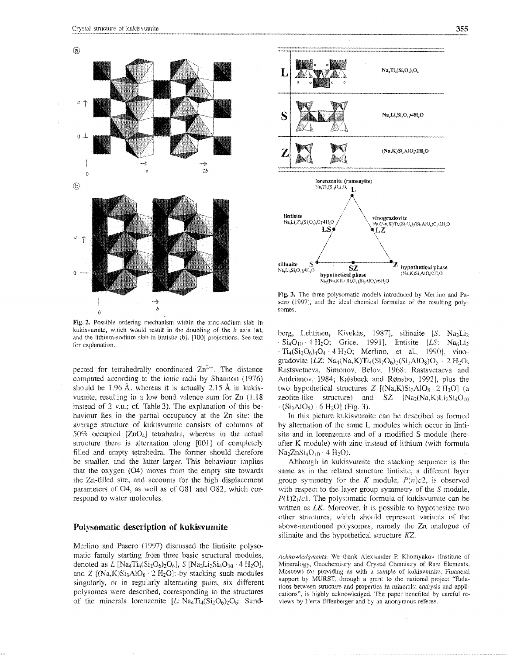

Fig. 2. Possible ordering mechanism within the zinc-sodium slab in kukisvumite, which would result in the doubling of the  $b$  axis (a), and the lithium-sodium slab in lintisite  $(b)$ , [100] projections. See text for explanation.

pected for tetrahedrally coordinated  $\text{Zn}^{2+}$ . The distance computed according to the ionic radii by Shannon (1976) should be 1.96 Å, whereas it is actually 2.15 Å in kukisvumite, resulting in a low bond valence sum for  $Zn$  (1.18) instead of 2 v.u.; cf. Table 3). The explanation of this behaviour lies in the partial occupancy at the Zn site: the average structure of kukisvumite consists of columns of 50% occupied  $[ZnO<sub>4</sub>]$  tetrahedra, whereas in the actual structure there is alternation along [001] of completely filled and empty tetrahedra. The former should therefore be smaller, and the latter larger. This behaviour implies that the oxygen  $(O4)$  moves from the empty site towards the Zn-filled site, and accounts for the high displacement parameters of O4, as well as of O81 and O82, which correspond to water molecules,

#### Polysomatic description of kukisvumite

Merlino and Pasero (1997) discussed the lintisite polysomatic family starting from three basic structural modules, denoted as *L* [Na<sub>4</sub>Ti<sub>4</sub>(Si<sub>2</sub>O<sub>6</sub>)<sub>2</sub>O<sub>6</sub>], *S* [Na<sub>2</sub>Li<sub>2</sub>Si<sub>4</sub>O<sub>10</sub> · 4 H<sub>2</sub>O], and Z  $[(Na,K)Si<sub>3</sub>AlO<sub>8</sub> \cdot 2 H<sub>2</sub>O]:$  by stacking such modules singularly, or in regularly alternating pairs, six different polysomes were described, corresponding to the structures of the minerals lorenzenite  $[L:Na_4Ti_4(Si_2O_6)_2O_6;$  Sund-



Fig. 3. The three polysomatic models introduced by Merlino and Pasero (1997), and the ideal chemical formulae of the resulting polsomes.

berg, Lehtinen, Kivekäs, 1987], silinaite [S: Na2Li2  $-Si<sub>4</sub>O<sub>10</sub> \cdot 4 H<sub>2</sub>O$ ; Grice, 1991], lintisite [LS: Na<sub>6</sub>Li<sub>2</sub>]  $\cdot$  TL(Si<sub>2</sub>O<sub>4</sub>)<sub>4</sub>O<sub>4</sub> · 4 H<sub>2</sub>O<sub>2</sub> · Merlino, et al., 1990L, vino. gradovite *[LZ:* Na<sub>4</sub>(Na,K)T<sub>14</sub>(Si<sub>2</sub>O<sub>6</sub>)<sub>2</sub>(Si<sub>3</sub>AlO<sub>8</sub>)O<sub>6</sub> · 2 H<sub>2</sub>O; Rastsvetaeva, Simonov, Belov, 1968; Rastsvetaeva and Andrianov, 1984; Kalsbeek and Rønsbo, 1992], plus the two hypothetical structures  $Z \left[ (Na,K)Si<sub>3</sub>AlO<sub>8</sub> \cdot 2 H<sub>2</sub>O \right]$  (a zeolite-like structure) and SZ  $[Na:(Na,K)]_{10}Si<sub>40/m</sub>$ </sub>  $\cdot$  (Si<sub>3</sub>AlO<sub>8</sub>)  $\cdot$  6 H<sub>2</sub>C

In this picture kukisvurnite can he described as formed by alternation of the same L modules which occur in lintisite and in lorenzenite and of a modified S module (hereafter K module) with zinc instead of lithiurn (with formula  $\text{Na}_2\text{ZnSi}_4\text{O}_{10} \cdot 4 \text{H}_2\text{O}_1$ 

' Although in kukisvumite the stacking sequence is the same as in the related structure lintisite, a different layer group symmetry for the K module,  $P(n)c2$ , is observed with respect to the layer group symmetry of the S module,  $P(1)2<sub>1</sub>/c1$ . The polysomatic formula of kukisvumite can be written as  $LK$ . Moreover, it is possible to hypothesize two other structures, which should represent variants of the above-mentioned polysomes, namely the Zn analogue of silinaite and the hypothetical structure  $KZ$ .

 $A$ *cknowledgments*. We thank Alexsander P. Khomyakov {Institute of Mineralogy, Geochemistry and Crystal Chemistry of Rare Elements, Moscow) for providing us with a sample of kukisvumite. Financial support by MURST, through a grant to the national project "Relations between structure and properties in minerals: analysis and applications", is highly acknowledged. The paper benefited by careful reviews by Herta Effenberger and by an anonymous referee.